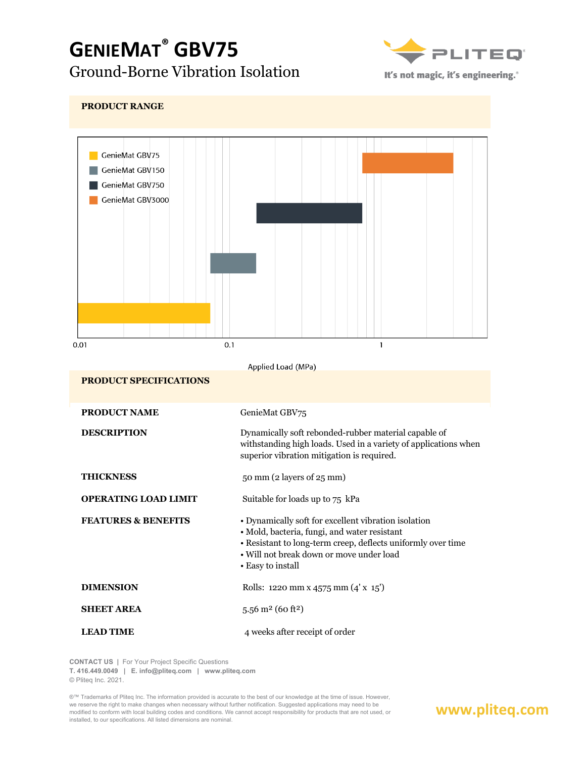# **GENIEMAT® GBV75** Ground-Borne Vibration Isolation



It's not magic, it's engineering.<sup>®</sup>



**CONTACT US |** For Your Project Specific Questions

**T. 416.449.0049 | E. info@pliteq.com | www.pliteq.com**

© Pliteq Inc. 2021.

®™ Trademarks of Pliteq Inc. The information provided is accurate to the best of our knowledge at the time of issue. However, we reserve the right to make changes when necessary without further notification. Suggested applications may need to be modified to conform with local building codes and conditions. We cannot accept responsibility for products that are not used, or installed, to our specifications. All listed dimensions are nominal.

### **www.pliteq.com**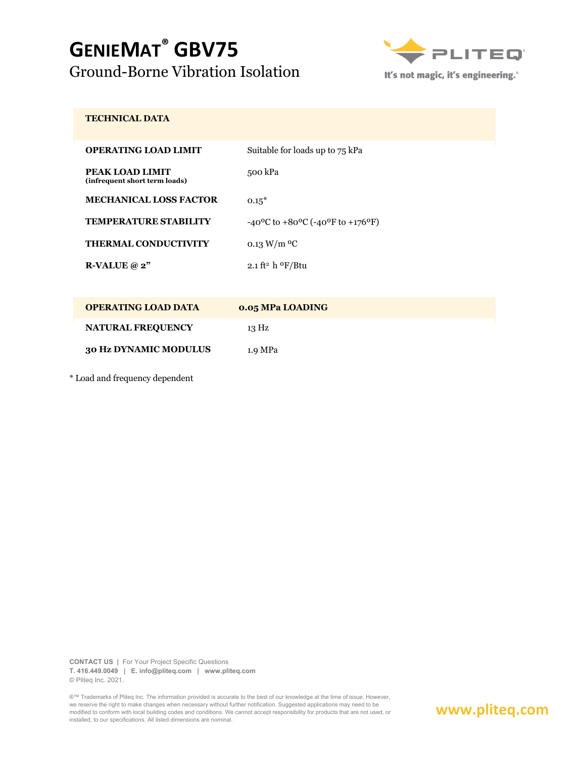## **GENIEMAT® GBV75** Ground-Borne Vibration Isolation



It's not magic, it's engineering.<sup>®</sup>

#### **TECHNICAL DATA**

| <b>OPERATING LOAD LIMIT</b>                      | Suitable for loads up to 75 kPa                                           |
|--------------------------------------------------|---------------------------------------------------------------------------|
| PEAK LOAD LIMIT<br>(infrequent short term loads) | 500 kPa                                                                   |
| <b>MECHANICAL LOSS FACTOR</b>                    | $0.15*$                                                                   |
| <b>TEMPERATURE STABILITY</b>                     | $-40^{\circ}$ C to $+80^{\circ}$ C ( $-40^{\circ}$ F to $+176^{\circ}$ F) |
| THERMAL CONDUCTIVITY                             | 0.13 W/m $\rm{^{0}C}$                                                     |
| R-VALUE $@2"$                                    | 2.1 ft <sup>2</sup> h $\rm{^oF/Btu}$                                      |

| <b>OPERATING LOAD DATA</b> | <b>0.05 MPa LOADING</b> |
|----------------------------|-------------------------|
| <b>NATURAL FREQUENCY</b>   | 13 Hz                   |
| 30 Hz DYNAMIC MODULUS      | 1.9 MPa                 |

\* Load and frequency dependent

**CONTACT US |** For Your Project Specific Questions **T. 416.449.0049 | E. info@pliteq.com | www.pliteq.com** © Pliteq Inc. 2021.

®™ Trademarks of Pliteq Inc. The information provided is accurate to the best of our knowledge at the time of issue. However, we reserve the right to make changes when necessary without further notification. Suggested applications may need to be modified to conform with local building codes and conditions. We cannot accept responsibility for products that are not used, or installed, to our specifications. All listed dimensions are nominal.

### **www.pliteq.com**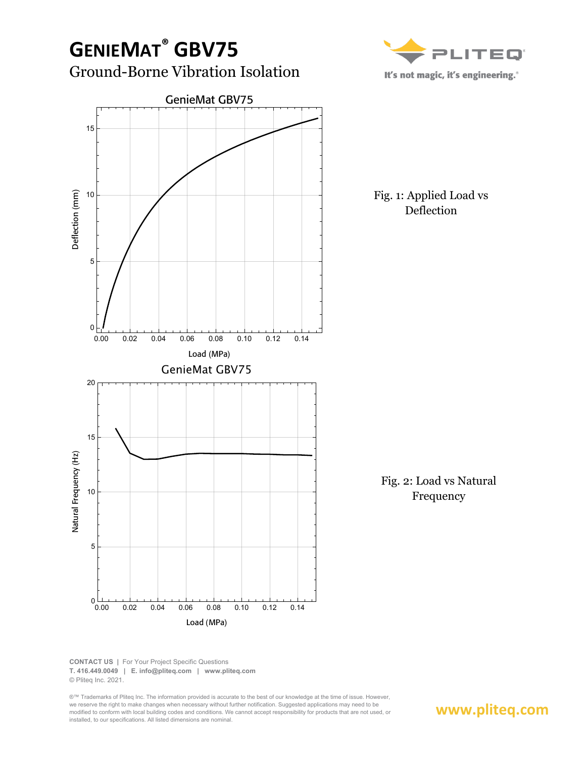

**www.pliteq.com**

**CONTACT US |** For Your Project Specific Questions **T. 416.449.0049 | E. info@pliteq.com | www.pliteq.com** © Pliteq Inc. 2021.

®™ Trademarks of Pliteq Inc. The information provided is accurate to the best of our knowledge at the time of issue. However, we reserve the right to make changes when necessary without further notification. Suggested applications may need to be modified to conform with local building codes and conditions. We cannot accept responsibility for products that are not used, or installed, to our specifications. All listed dimensions are nominal.